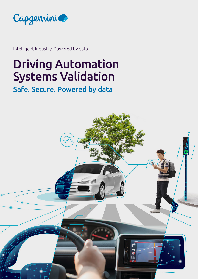

Intelligent Industry. Powered by data

# Driving Automation Systems Validation

# Safe. Secure. Powered by data

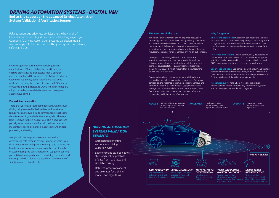For the majority of automotive original equipment manufacturers (OEMs) building this functionality into existing processes and products is a highly complex exercise, needing all the resources of Intelligent Industry. Capgemini has already done a lot of the background work, and can bring live proofs of concepts (POCs), and a constantly growing dataset, to OEMs to help them rapidly adopt the underlying architecture and technologies of autonomous driving.

## Data-driven evolution

There are five levels of autonomous driving, with manual driving being zero and fully driverless vehicles at level five. Levels one to two include common features like lane departure warnings and adaptive braking – but the step from level two to three is a real leap. This is because even partially autonomous operation, with a driver required to make interventions, demands a massive amount of data, processing and testing.

A single vehicle can generate several hundreds of petabytes of data through driving. Even so, no vehicle can drive enough miles and generate enough data to anticipate how to behave in any scenario on a public road. It needs virtual modeling and constant learning. Capgemini can help you build and manage data sets for training the models and evolving a vehicle's algorithms based on a combination of simulation and real-world data.

Fully autonomous driverless vehicles are the holy grail of the automotive industry. While there is still a long way to go, Capgemini's Driving Automation Systems Validation means we can help plot the road map for this journey with confidence, safety and trust.

> **IMPLEMENT** Deploying driving **OPERATE** automation systems, digital V&V infrastructure.



**OPERATE** Operating driving automation systems digital V&V.

#### **The new law of the road**

Reference architecture: we are continuously developing on our experience in cloud infrastructure and data management in ADAS. We also have working prototypes to build on, and POCs to demonstrate how end-to-end tests will work.

The rollout of autonomous driving depends not just on technology, but also compliance with governing standards: autonomous vehicles have to be proven to be safe. While there are possibly fewer risks in applications such as agriculture and shuttle services in enclosed areas, there are regulatory obstacles for autonomous driving on public roads.

Driving data has to be gathered, stored, annotated, visualized, analyzed and then made available to all the different stakeholders in the development lifecycle. And there are several safety regulatory standards coming, including ISO 262262, which require that manufacturers collect and store this data.

Capgemini can help companies manage all this data, in preparation for industry compliance standards. For many companies, the roadmap is to implement autonomous and safety functions in all their models. Capgemini can also manage the complete validation and verification of these features so OEMs can concentrate their R&D efforts in progressing to higher levels of autonomy.

Definfing driving automation *ADVISE* systems, digital V&V process and infrastructure.

#### Why Capgemini?

End-to-end capabilities: Capgemini can help build the data sets and architecture to make the journey to autonomy more straightforward. We also have hands-on experience in the combination of technology and engineering to bring ADAS to life.

Experience and scale: Capgemini is a well-known and trusted partner with many automotive OEMs, and we can scale the cloud networks that ADAS relies on, providing total security for the petabytes of data the networks handle.



Responsibility: we help OEMs work our the relevant responsibilities for the safety of any autonomous systems and technologies that we develop together.

# *DRIVING AUTOMATION SYSTEMS - DIGITAL V&V*

End to End support on the advanced Driving Automation Systems Validation & Verification Journey

# *DRIVING AUTOMATION SYSTEMS VALIDATION BENEFITS*

- Orchestration of entire autonomous driving validation cycle
- Experience and scale to gather, store and analyse petabytes of data from road tests and simulated driving
- Datasets, proofs of concepts and use cases for training models and algorithms